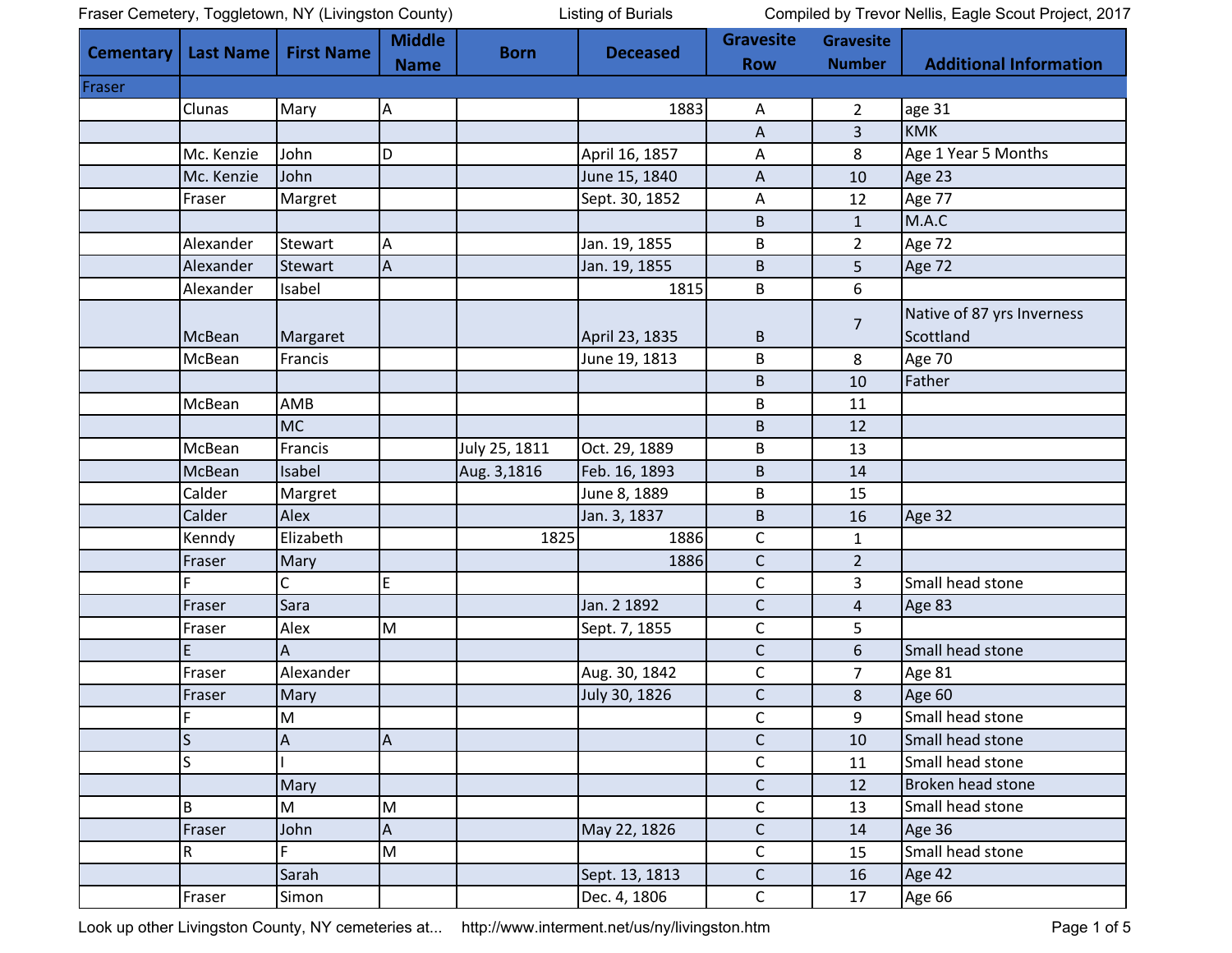Fraser Cemetery, Toggletown, NY (Livingston County) Listing of Burials Compiled by Trevor Nellis, Eagle Scout Project, 2017

|                  |                         |                   | <b>Middle</b> |               |                 | <b>Gravesite</b> | <b>Gravesite</b> |                               |
|------------------|-------------------------|-------------------|---------------|---------------|-----------------|------------------|------------------|-------------------------------|
| <b>Cementary</b> | <b>Last Name</b>        | <b>First Name</b> | <b>Name</b>   | <b>Born</b>   | <b>Deceased</b> | <b>Row</b>       | <b>Number</b>    | <b>Additional Information</b> |
| Fraser           |                         |                   |               |               |                 |                  |                  |                               |
|                  | Clunas                  | Mary              | A             |               | 1883            | A                | $\overline{2}$   | age 31                        |
|                  |                         |                   |               |               |                 | A                | 3                | <b>KMK</b>                    |
|                  | Mc. Kenzie              | John              | D             |               | April 16, 1857  | A                | 8                | Age 1 Year 5 Months           |
|                  | Mc. Kenzie              | John              |               |               | June 15, 1840   | A                | 10               | Age 23                        |
|                  | Fraser                  | Margret           |               |               | Sept. 30, 1852  | A                | 12               | Age 77                        |
|                  |                         |                   |               |               |                 | $\sf B$          | $\mathbf 1$      | M.A.C                         |
|                  | Alexander               | Stewart           | Α             |               | Jan. 19, 1855   | B                | $\overline{2}$   | Age 72                        |
|                  | Alexander               | <b>Stewart</b>    | А             |               | Jan. 19, 1855   | $\sf B$          | 5                | Age 72                        |
|                  | Alexander               | Isabel            |               |               | 1815            | B                | 6                |                               |
|                  |                         |                   |               |               |                 |                  |                  | Native of 87 yrs Inverness    |
|                  | McBean                  | Margaret          |               |               | April 23, 1835  | B                | $\overline{7}$   | Scottland                     |
|                  | McBean                  | Francis           |               |               | June 19, 1813   | B                | 8                | Age 70                        |
|                  |                         |                   |               |               |                 | $\mathsf B$      | 10               | Father                        |
|                  | McBean                  | AMB               |               |               |                 | B                | 11               |                               |
|                  |                         | <b>MC</b>         |               |               |                 | B                | 12               |                               |
|                  | McBean                  | Francis           |               | July 25, 1811 | Oct. 29, 1889   | B                | 13               |                               |
|                  | McBean                  | Isabel            |               | Aug. 3,1816   | Feb. 16, 1893   | $\sf B$          | 14               |                               |
|                  | Calder                  | Margret           |               |               | June 8, 1889    | $\sf B$          | 15               |                               |
|                  | Calder                  | Alex              |               |               | Jan. 3, 1837    | $\mathsf B$      | 16               | Age 32                        |
|                  | Kenndy                  | Elizabeth         |               | 1825          | 1886            | $\mathsf C$      | $\mathbf{1}$     |                               |
|                  | Fraser                  | Mary              |               |               | 1886            | $\mathsf C$      | $\overline{2}$   |                               |
|                  | F                       | C                 | E             |               |                 | $\mathsf C$      | 3                | Small head stone              |
|                  | Fraser                  | Sara              |               |               | Jan. 2 1892     | $\mathsf C$      | $\overline{a}$   | Age 83                        |
|                  | Fraser                  | Alex              | M             |               | Sept. 7, 1855   | $\mathsf{C}$     | 5                |                               |
|                  |                         |                   |               |               |                 | $\mathsf C$      | 6                | Small head stone              |
|                  | Fraser                  | Alexander         |               |               | Aug. 30, 1842   | C                | $\overline{7}$   | Age 81                        |
|                  | Fraser                  | Mary              |               |               | July 30, 1826   | $\mathsf C$      | 8                | Age 60                        |
|                  | F.                      | M                 |               |               |                 | $\mathsf{C}$     | $\mathbf{q}$     | Small head stone              |
|                  | $\overline{\mathsf{S}}$ | A                 | А             |               |                 | $\mathsf{C}$     | 10               | Small head stone              |
|                  | S                       |                   |               |               |                 | $\mathsf C$      | 11               | Small head stone              |
|                  |                         | Mary              |               |               |                 | $\mathsf C$      | 12               | Broken head stone             |
|                  | B                       | M                 | M             |               |                 | $\mathsf C$      | 13               | Small head stone              |
|                  | Fraser                  | John              | A             |               | May 22, 1826    | $\mathsf C$      | 14               | Age 36                        |
|                  | R                       | Ē.                | M             |               |                 | $\mathsf C$      | 15               | Small head stone              |
|                  |                         | Sarah             |               |               | Sept. 13, 1813  | $\mathsf C$      | 16               | Age 42                        |
|                  | Fraser                  | Simon             |               |               | Dec. 4, 1806    | $\mathsf C$      | 17               | Age 66                        |

Look up other Livingston County, NY cemeteries at... <http://www.interment.net/us/ny/livingston.htm> Page 1 of 5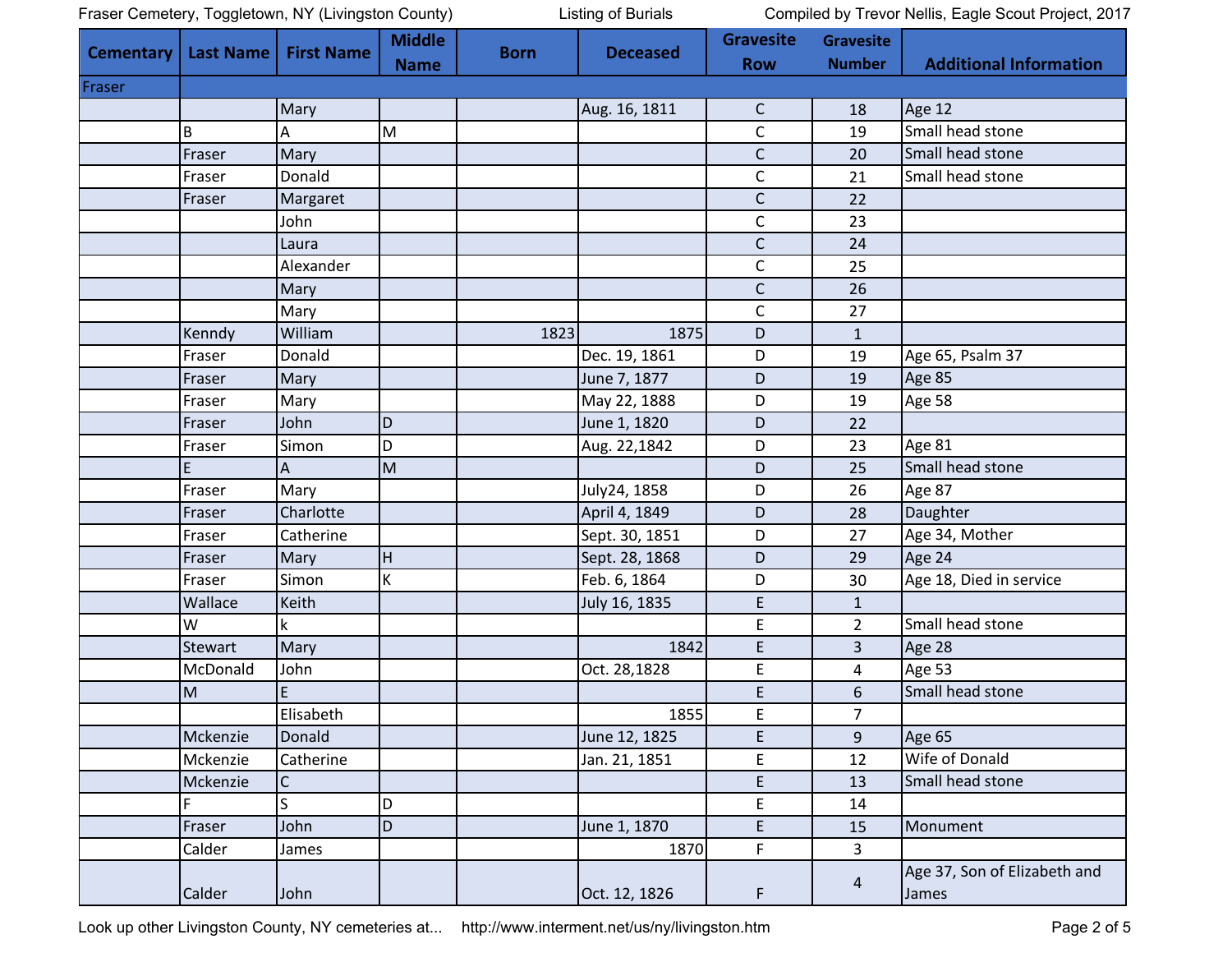Fraser Cemetery, Toggletown, NY (Livingston County) Listing of Burials Compiled by Trevor Nellis, Eagle Scout Project, 2017

| Cementary | <b>Last Name</b> | <b>First Name</b> | <b>Middle</b> | <b>Born</b> | <b>Deceased</b> | <b>Gravesite</b> | <b>Gravesite</b> |                                       |
|-----------|------------------|-------------------|---------------|-------------|-----------------|------------------|------------------|---------------------------------------|
|           |                  |                   | <b>Name</b>   |             |                 | <b>Row</b>       | <b>Number</b>    | <b>Additional Information</b>         |
| Fraser    |                  |                   |               |             |                 |                  |                  |                                       |
|           |                  | Mary              |               |             | Aug. 16, 1811   | $\mathsf{C}$     | 18               | Age 12                                |
|           | B                | А                 | M             |             |                 | $\mathsf C$      | 19               | Small head stone                      |
|           | Fraser           | Mary              |               |             |                 | $\mathsf C$      | 20               | Small head stone                      |
|           | Fraser           | Donald            |               |             |                 | $\mathsf{C}$     | 21               | Small head stone                      |
|           | Fraser           | Margaret          |               |             |                 | $\mathsf C$      | 22               |                                       |
|           |                  | John              |               |             |                 | $\mathsf C$      | 23               |                                       |
|           |                  | Laura             |               |             |                 | $\mathsf C$      | 24               |                                       |
|           |                  | Alexander         |               |             |                 | $\mathsf C$      | 25               |                                       |
|           |                  | Mary              |               |             |                 | $\mathsf{C}$     | 26               |                                       |
|           |                  | Mary              |               |             |                 | $\mathsf{C}$     | 27               |                                       |
|           | Kenndy           | William           |               | 1823        | 1875            | D                | $\mathbf{1}$     |                                       |
|           | Fraser           | Donald            |               |             | Dec. 19, 1861   | D                | 19               | Age 65, Psalm 37                      |
|           | Fraser           | Mary              |               |             | June 7, 1877    | D                | 19               | Age 85                                |
|           | Fraser           | Mary              |               |             | May 22, 1888    | D                | 19               | Age 58                                |
|           | Fraser           | John              | D             |             | June 1, 1820    | D                | 22               |                                       |
|           | Fraser           | Simon             | D             |             | Aug. 22,1842    | D                | 23               | Age 81                                |
|           | E                | Α                 | M             |             |                 | D                | 25               | Small head stone                      |
|           | Fraser           | Mary              |               |             | July24, 1858    | D                | 26               | Age 87                                |
|           | Fraser           | Charlotte         |               |             | April 4, 1849   | D                | 28               | Daughter                              |
|           | Fraser           | Catherine         |               |             | Sept. 30, 1851  | D                | 27               | Age 34, Mother                        |
|           | Fraser           | Mary              | H             |             | Sept. 28, 1868  | D                | 29               | Age 24                                |
|           | Fraser           | Simon             | K             |             | Feb. 6, 1864    | D                | 30               | Age 18, Died in service               |
|           | Wallace          | Keith             |               |             | July 16, 1835   | E                | $\mathbf 1$      |                                       |
|           | W                | k.                |               |             |                 | E                | $\overline{2}$   | Small head stone                      |
|           | <b>Stewart</b>   | Mary              |               |             | 1842            | E                | 3                | Age 28                                |
|           | McDonald         | John              |               |             | Oct. 28,1828    | E                | 4                | Age 53                                |
|           | M                | E                 |               |             |                 | E                | 6                | Small head stone                      |
|           |                  | Elisabeth         |               |             | 1855            | E                | $\overline{7}$   |                                       |
|           | Mckenzie         | Donald            |               |             | June 12, 1825   | E                | 9                | Age 65                                |
|           | Mckenzie         | Catherine         |               |             | Jan. 21, 1851   | E                | 12               | Wife of Donald                        |
|           | Mckenzie         | $\mathsf C$       |               |             |                 | E                | 13               | Small head stone                      |
|           | F                | S                 | D             |             |                 | E                | 14               |                                       |
|           | Fraser           | John              | D             |             | June 1, 1870    | E                | 15               | Monument                              |
|           | Calder           | James             |               |             | 1870            | F                | 3                |                                       |
|           | Calder           | John              |               |             | Oct. 12, 1826   | F                | $\overline{4}$   | Age 37, Son of Elizabeth and<br>James |

Look up other Livingston County, NY cemeteries at... <http://www.interment.net/us/ny/livingston.htm> Page 2 of 5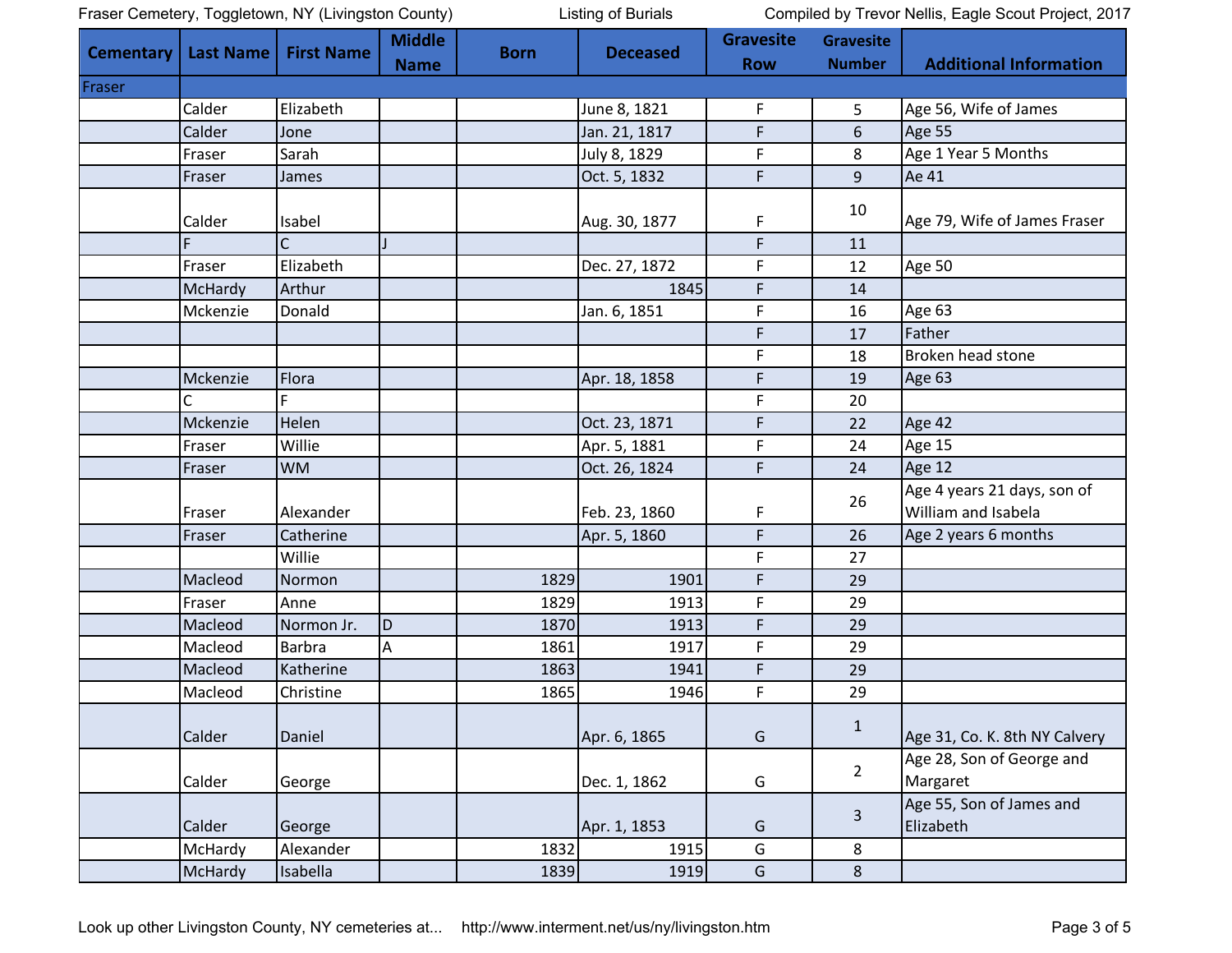| Fraser Cemetery, Toggletown, NY (Livingston County) |  |  |
|-----------------------------------------------------|--|--|
|                                                     |  |  |

Listing of Burials Compiled by Trevor Nellis, Eagle Scout Project, 2017

| Cementary | <b>Last Name</b> | <b>First Name</b> | <b>Middle</b> | <b>Born</b> | <b>Deceased</b> | <b>Gravesite</b> | <b>Gravesite</b> |                                                    |
|-----------|------------------|-------------------|---------------|-------------|-----------------|------------------|------------------|----------------------------------------------------|
|           |                  |                   | <b>Name</b>   |             |                 | <b>Row</b>       | <b>Number</b>    | <b>Additional Information</b>                      |
| Fraser    |                  |                   |               |             |                 |                  |                  |                                                    |
|           | Calder           | Elizabeth         |               |             | June 8, 1821    | $\mathsf F$      | 5                | Age 56, Wife of James                              |
|           | Calder           | Jone              |               |             | Jan. 21, 1817   | F                | 6                | Age 55                                             |
|           | Fraser           | Sarah             |               |             | July 8, 1829    | F                | 8                | Age 1 Year 5 Months                                |
|           | Fraser           | James             |               |             | Oct. 5, 1832    | $\mathsf F$      | 9                | Ae 41                                              |
|           | Calder           | Isabel            |               |             | Aug. 30, 1877   | F                | 10               | Age 79, Wife of James Fraser                       |
|           | F                | C                 |               |             |                 | F                | 11               |                                                    |
|           | Fraser           | Elizabeth         |               |             | Dec. 27, 1872   | F                | 12               | Age 50                                             |
|           | McHardy          | Arthur            |               |             | 1845            | $\mathsf F$      | 14               |                                                    |
|           | Mckenzie         | Donald            |               |             | Jan. 6, 1851    | F                | 16               | Age 63                                             |
|           |                  |                   |               |             |                 | F                | 17               | Father                                             |
|           |                  |                   |               |             |                 | F                | 18               | Broken head stone                                  |
|           | Mckenzie         | Flora             |               |             | Apr. 18, 1858   | F                | 19               | Age 63                                             |
|           |                  | F                 |               |             |                 | $\mathsf F$      | 20               |                                                    |
|           | Mckenzie         | Helen             |               |             | Oct. 23, 1871   | $\mathsf F$      | 22               | Age 42                                             |
|           | Fraser           | Willie            |               |             | Apr. 5, 1881    | F                | 24               | Age 15                                             |
|           | Fraser           | <b>WM</b>         |               |             | Oct. 26, 1824   | $\mathsf F$      | 24               | Age 12                                             |
|           |                  | Alexander         |               |             | Feb. 23, 1860   | F                | 26               | Age 4 years 21 days, son of<br>William and Isabela |
|           | Fraser           | Catherine         |               |             |                 | $\mathsf F$      | 26               |                                                    |
|           | Fraser           | Willie            |               |             | Apr. 5, 1860    |                  |                  | Age 2 years 6 months                               |
|           |                  |                   |               |             |                 | $\mathsf F$      | 27               |                                                    |
|           | Macleod          | Normon            |               | 1829        | 1901            | F                | 29               |                                                    |
|           | Fraser           | Anne              |               | 1829        | 1913            | $\mathsf F$      | 29               |                                                    |
|           | Macleod          | Normon Jr.        | D             | 1870        | 1913            | $\mathsf F$      | 29               |                                                    |
|           | Macleod          | <b>Barbra</b>     | А             | 1861        | 1917            | $\mathsf F$      | 29               |                                                    |
|           | Macleod          | Katherine         |               | 1863        | 1941            | $\mathsf F$      | 29               |                                                    |
|           | Macleod          | Christine         |               | 1865        | 1946            | F                | 29               |                                                    |
|           | Calder           | Daniel            |               |             | Apr. 6, 1865    | G                | $\mathbf 1$      | Age 31, Co. K. 8th NY Calvery                      |
|           | Calder           | George            |               |             | Dec. 1, 1862    | G                | $\overline{2}$   | Age 28, Son of George and<br>Margaret              |
|           | Calder           | George            |               |             | Apr. 1, 1853    | G                | $\overline{3}$   | Age 55, Son of James and<br>Elizabeth              |
|           | McHardy          | Alexander         |               | 1832        | 1915            | G                | 8                |                                                    |
|           | McHardy          | Isabella          |               | 1839        | 1919            | G                | 8                |                                                    |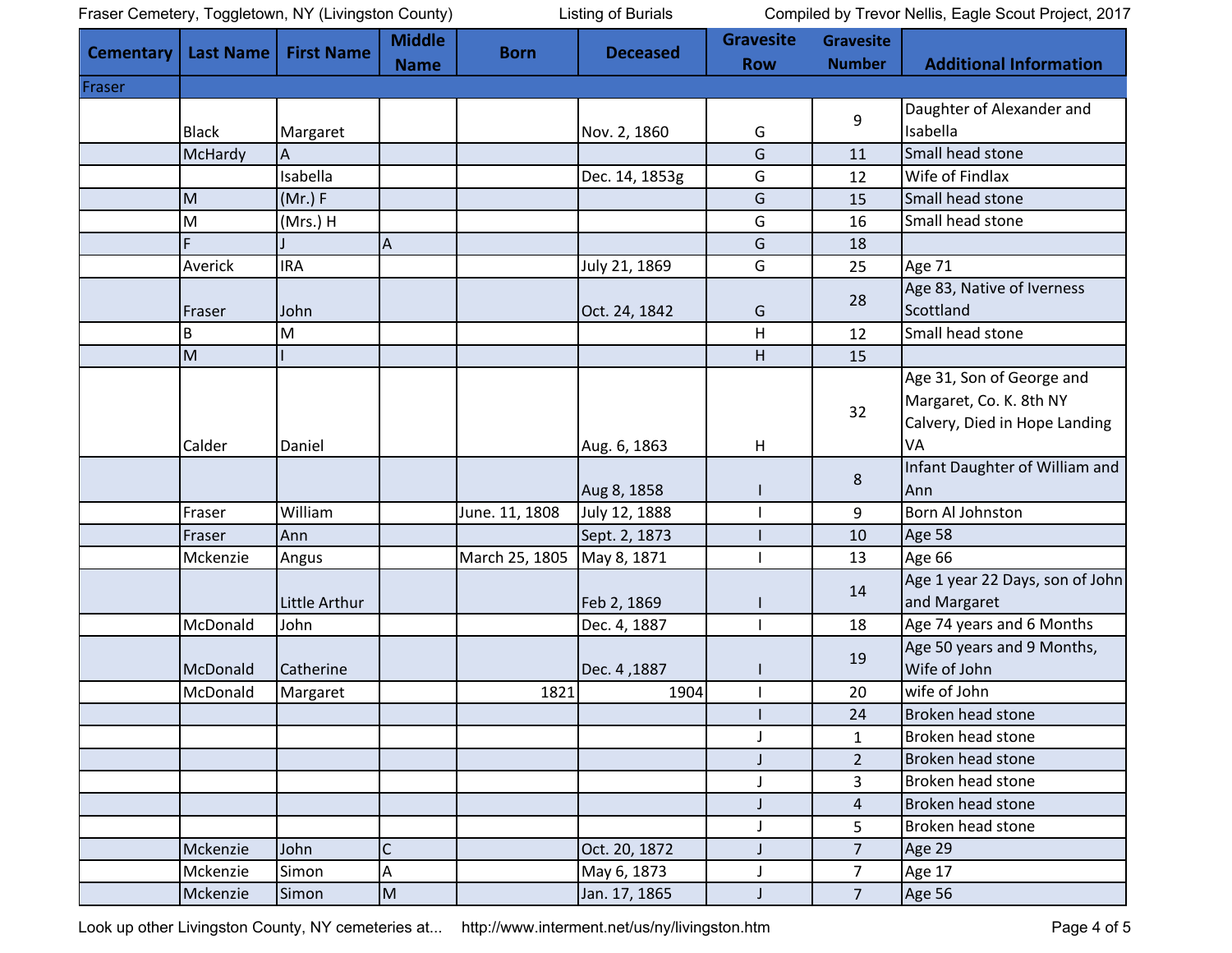Listing of Burials Compiled by Trevor Nellis, Eagle Scout Project, 2017

| <b>Cementary</b> | <b>Last Name</b> | <b>First Name</b> | <b>Middle</b> | <b>Born</b>    | <b>Deceased</b> | <b>Gravesite</b> | <b>Gravesite</b> |                                 |
|------------------|------------------|-------------------|---------------|----------------|-----------------|------------------|------------------|---------------------------------|
|                  |                  |                   | <b>Name</b>   |                |                 | <b>Row</b>       | <b>Number</b>    | <b>Additional Information</b>   |
| Fraser           |                  |                   |               |                |                 |                  |                  |                                 |
|                  |                  |                   |               |                |                 |                  |                  | Daughter of Alexander and       |
|                  | <b>Black</b>     | Margaret          |               |                | Nov. 2, 1860    | G                | 9                | Isabella                        |
|                  | McHardy          | Α                 |               |                |                 | G                | 11               | Small head stone                |
|                  |                  | Isabella          |               |                | Dec. 14, 1853g  | G                | 12               | Wife of Findlax                 |
|                  | M                | (Mr.) F           |               |                |                 | G                | 15               | Small head stone                |
|                  | M                | (Mrs.) H          |               |                |                 | G                | 16               | Small head stone                |
|                  | F                |                   | Α             |                |                 | G                | 18               |                                 |
|                  | Averick          | <b>IRA</b>        |               |                | July 21, 1869   | G                | 25               | <b>Age 71</b>                   |
|                  |                  |                   |               |                |                 |                  |                  | Age 83, Native of Iverness      |
|                  | Fraser           | John              |               |                | Oct. 24, 1842   | G                | 28               | Scottland                       |
|                  | B                | M                 |               |                |                 | H                | 12               | Small head stone                |
|                  | M                |                   |               |                |                 | H                | 15               |                                 |
|                  |                  |                   |               |                |                 |                  |                  | Age 31, Son of George and       |
|                  |                  |                   |               |                |                 |                  |                  | Margaret, Co. K. 8th NY         |
|                  |                  |                   |               |                |                 |                  | 32               | Calvery, Died in Hope Landing   |
|                  | Calder           | Daniel            |               |                | Aug. 6, 1863    | H                |                  | VA                              |
|                  |                  |                   |               |                |                 |                  |                  | Infant Daughter of William and  |
|                  |                  |                   |               |                | Aug 8, 1858     |                  | 8                | Ann                             |
|                  | Fraser           | William           |               | June. 11, 1808 | July 12, 1888   |                  | 9                | Born Al Johnston                |
|                  | Fraser           | Ann               |               |                | Sept. 2, 1873   |                  | 10               | Age 58                          |
|                  | Mckenzie         | Angus             |               | March 25, 1805 | May 8, 1871     |                  | 13               | Age 66                          |
|                  |                  |                   |               |                |                 |                  |                  | Age 1 year 22 Days, son of John |
|                  |                  | Little Arthur     |               |                | Feb 2, 1869     |                  | 14               | and Margaret                    |
|                  | McDonald         | John              |               |                | Dec. 4, 1887    |                  | 18               | Age 74 years and 6 Months       |
|                  |                  |                   |               |                |                 |                  |                  | Age 50 years and 9 Months,      |
|                  | McDonald         | Catherine         |               |                | Dec. 4, 1887    |                  | 19               | Wife of John                    |
|                  | McDonald         | Margaret          |               | 1821           | 1904            |                  | 20               | wife of John                    |
|                  |                  |                   |               |                |                 |                  | 24               | Broken head stone               |
|                  |                  |                   |               |                |                 |                  | $\mathbf{1}$     | Broken head stone               |
|                  |                  |                   |               |                |                 | J                | $\overline{2}$   | Broken head stone               |
|                  |                  |                   |               |                |                 | J                | 3                | Broken head stone               |
|                  |                  |                   |               |                |                 | J                | $\overline{4}$   | Broken head stone               |
|                  |                  |                   |               |                |                 | J                | 5                | Broken head stone               |
|                  | Mckenzie         | John              | C             |                | Oct. 20, 1872   |                  | $\overline{7}$   | Age 29                          |
|                  | Mckenzie         | Simon             | А             |                | May 6, 1873     | J                | $\overline{7}$   | Age 17                          |
|                  | Mckenzie         | Simon             | M             |                | Jan. 17, 1865   | J                | $\overline{7}$   | Age 56                          |

Look up other Livingston County, NY cemeteries at... <http://www.interment.net/us/ny/livingston.htm> Page 4 of 5